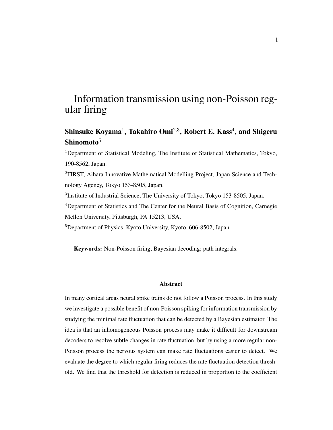# Information transmission using non-Poisson regular firing

## Shinsuke Koyama<sup>1</sup>, Takahiro Omi<sup>2,3</sup>, Robert E. Kass<sup>4</sup>, and Shigeru Shinomoto $5$

<sup>1</sup>Department of Statistical Modeling, The Institute of Statistical Mathematics, Tokyo, 190-8562, Japan.

2FIRST, Aihara Innovative Mathematical Modelling Project, Japan Science and Technology Agency, Tokyo 153-8505, Japan.

<sup>3</sup>Institute of Industrial Science, The University of Tokyo, Tokyo 153-8505, Japan.

<sup>4</sup>Department of Statistics and The Center for the Neural Basis of Cognition, Carnegie Mellon University, Pittsburgh, PA 15213, USA.

<sup>5</sup>Department of Physics, Kyoto University, Kyoto, 606-8502, Japan.

Keywords: Non-Poisson firing; Bayesian decoding; path integrals.

#### Abstract

In many cortical areas neural spike trains do not follow a Poisson process. In this study we investigate a possible benefit of non-Poisson spiking for information transmission by studying the minimal rate fluctuation that can be detected by a Bayesian estimator. The idea is that an inhomogeneous Poisson process may make it difficult for downstream decoders to resolve subtle changes in rate fluctuation, but by using a more regular non-Poisson process the nervous system can make rate fluctuations easier to detect. We evaluate the degree to which regular firing reduces the rate fluctuation detection threshold. We find that the threshold for detection is reduced in proportion to the coefficient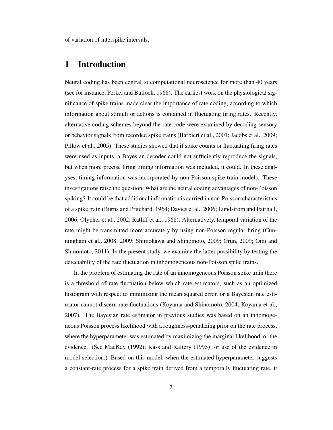of variation of interspike intervals.

## 1 Introduction

Neural coding has been central to computational neuroscience for more than 40 years (see for instance, Perkel and Bullock, 1968). The earliest work on the physiological significance of spike trains made clear the importance of rate coding, according to which information about stimuli or actions is contained in fluctuating firing rates. Recently, alternative coding schemes beyond the rate code were examined by decoding sensory or behavior signals from recorded spike trains (Barbieri et al., 2001; Jacobs et al., 2009; Pillow et al., 2005). These studies showed that if spike counts or fluctuating firing rates were used as inputs, a Bayesian decoder could not sufficiently reproduce the signals, but when more precise firing timing information was included, it could. In these analyses, timing information was incorporated by non-Poisson spike train models. These investigations raise the question, What are the neural coding advantages of non-Poisson spiking? It could be that additional information is carried in non-Poisson characteristics of a spike train (Burns and Pritchard, 1964; Davies et al., 2006; Lundstrom and Fairhall, 2006; Olypher et al., 2002; Ratliff et al., 1968). Alternatively, temporal variation of the rate might be transmitted more accurately by using non-Poisson regular firing (Cunningham et al., 2008, 2009; Shimokawa and Shinomoto, 2009; Grun, 2009; Omi and Shinomoto, 2011). In the present study, we examine the latter possibility by testing the detectability of the rate fluctuation in inhomogeneous non-Poisson spike trains.

In the problem of estimating the rate of an inhomogeneous Poisson spike train there is a threshold of rate fluctuation below which rate estimators, such as an optimized histogram with respect to minimizing the mean squared error, or a Bayesian rate estimator cannot discern rate fluctuations (Koyama and Shinomoto, 2004; Koyama et al., 2007). The Bayesian rate estimator in previous studies was based on an inhomogeneous Poisson process likelihood with a roughness-penalizing prior on the rate process, where the hyperparameter was estimated by maximizing the marginal likelihood, or the evidence. (See MacKay (1992); Kass and Raftery (1995) for use of the evidence in model selection.) Based on this model, when the estimated hyperparameter suggests a constant-rate process for a spike train derived from a temporally fluctuating rate, it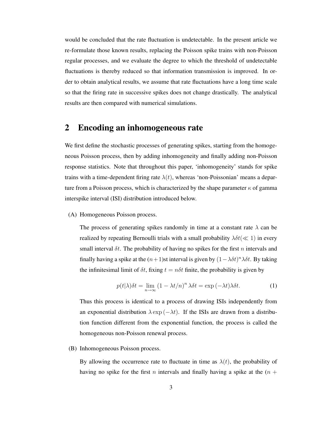would be concluded that the rate fluctuation is undetectable. In the present article we re-formulate those known results, replacing the Poisson spike trains with non-Poisson regular processes, and we evaluate the degree to which the threshold of undetectable fluctuations is thereby reduced so that information transmission is improved. In order to obtain analytical results, we assume that rate fluctuations have a long time scale so that the firing rate in successive spikes does not change drastically. The analytical results are then compared with numerical simulations.

### 2 Encoding an inhomogeneous rate

We first define the stochastic processes of generating spikes, starting from the homogeneous Poisson process, then by adding inhomogeneity and finally adding non-Poisson response statistics. Note that throughout this paper, 'inhomogeneity' stands for spike trains with a time-dependent firing rate  $\lambda(t)$ , whereas 'non-Poissonian' means a departure from a Poisson process, which is characterized by the shape parameter  $\kappa$  of gamma interspike interval (ISI) distribution introduced below.

(A) Homogeneous Poisson process.

The process of generating spikes randomly in time at a constant rate  $\lambda$  can be realized by repeating Bernoulli trials with a small probability  $\lambda \delta t (\ll 1)$  in every small interval  $\delta t$ . The probability of having no spikes for the first n intervals and finally having a spike at the  $(n+1)$ st interval is given by  $(1-\lambda \delta t)^n \lambda \delta t$ . By taking the infinitesimal limit of  $\delta t$ , fixing  $t = n\delta t$  finite, the probability is given by

$$
p(t|\lambda)\delta t = \lim_{n \to \infty} \left(1 - \lambda t/n\right)^n \lambda \delta t = \exp\left(-\lambda t\right) \lambda \delta t. \tag{1}
$$

Thus this process is identical to a process of drawing ISIs independently from an exponential distribution  $\lambda \exp(-\lambda t)$ . If the ISIs are drawn from a distribution function different from the exponential function, the process is called the homogeneous non-Poisson renewal process.

(B) Inhomogeneous Poisson process.

By allowing the occurrence rate to fluctuate in time as  $\lambda(t)$ , the probability of having no spike for the first n intervals and finally having a spike at the  $(n +$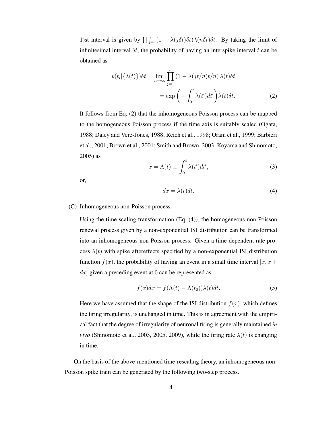1)st interval is given by  $\prod_{j=1}^{n} (1 - \lambda(j\delta t)\delta t) \lambda(n\delta t) \delta t$ . By taking the limit of infinitesimal interval  $\delta t$ , the probability of having an interspike interval t can be obtained as

$$
p(t_i|\{\lambda(t)\})\delta t = \lim_{n \to \infty} \prod_{j=1}^n (1 - \lambda(jt/n)t/n) \lambda(t)\delta t
$$

$$
= \exp\left(-\int_0^t \lambda(t')dt'\right)\lambda(t)\delta t.
$$
 (2)

It follows from Eq. (2) that the inhomogeneous Poisson process can be mapped to the homogeneous Poisson process if the time axis is suitably scaled (Ogata, 1988; Daley and Vere-Jones, 1988; Reich et al., 1998; Oram et al., 1999; Barbieri et al., 2001; Brown et al., 2001; Smith and Brown, 2003; Koyama and Shinomoto, 2005) as

$$
x = \Lambda(t) \equiv \int_0^t \lambda(t')dt',\tag{3}
$$

or,

$$
dx = \lambda(t)dt.
$$
 (4)

#### (C) Inhomogeneous non-Poisson process.

Using the time-scaling transformation (Eq. (4)), the homogeneous non-Poisson renewal process given by a non-exponential ISI distribution can be transformed into an inhomogeneous non-Poisson process. Given a time-dependent rate process  $\lambda(t)$  with spike aftereffects specified by a non-exponential ISI distribution function  $f(x)$ , the probability of having an event in a small time interval  $[x, x +$  $dx$  given a preceding event at 0 can be represented as

$$
f(x)dx = f(\Lambda(t) - \Lambda(t_0))\lambda(t)dt.
$$
 (5)

Here we have assumed that the shape of the ISI distribution  $f(x)$ , which defines the firing irregularity, is unchanged in time. This is in agreement with the empirical fact that the degree of irregularity of neuronal firing is generally maintained *in vivo* (Shinomoto et al., 2003, 2005, 2009), while the firing rate  $\lambda(t)$  is changing in time.

On the basis of the above-mentioned time-rescaling theory, an inhomogeneous non-Poisson spike train can be generated by the following two-step process.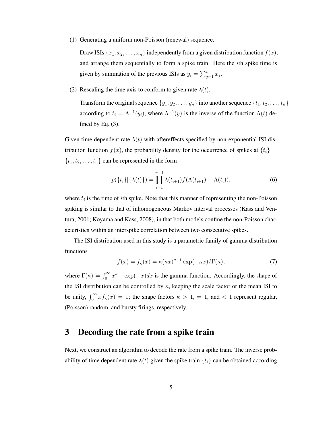(1) Generating a uniform non-Poisson (renewal) sequence.

Draw ISIs  $\{x_1, x_2, \ldots, x_n\}$  independently from a given distribution function  $f(x)$ , and arrange them sequentially to form a spike train. Here the ith spike time is given by summation of the previous ISIs as  $y_i = \sum_{j=1}^i x_j$ .

(2) Rescaling the time axis to conform to given rate  $\lambda(t)$ .

Transform the original sequence  $\{y_1, y_2, \ldots, y_n\}$  into another sequence  $\{t_1, t_2, \ldots, t_n\}$ according to  $t_i = \Lambda^{-1}(y_i)$ , where  $\Lambda^{-1}(y)$  is the inverse of the function  $\Lambda(t)$  defined by Eq.  $(3)$ .

Given time dependent rate  $\lambda(t)$  with aftereffects specified by non-exponential ISI distribution function  $f(x)$ , the probability density for the occurrence of spikes at  $\{t_i\}$  =  $\{t_1, t_2, \ldots, t_n\}$  can be represented in the form

$$
p(\lbrace t_i \rbrace | \lbrace \lambda(t) \rbrace) = \prod_{i=1}^{n-1} \lambda(t_{i+1}) f(\Lambda(t_{i+1}) - \Lambda(t_i)).
$$
 (6)

where  $t_i$  is the time of *i*th spike. Note that this manner of representing the non-Poisson spiking is similar to that of inhomogeneous Markov interval processes (Kass and Ventura, 2001; Koyama and Kass, 2008), in that both models confine the non-Poisson characteristics within an interspike correlation between two consecutive spikes.

The ISI distribution used in this study is a parametric family of gamma distribution functions

$$
f(x) = f_{\kappa}(x) = \kappa(\kappa x)^{\kappa - 1} \exp(-\kappa x) / \Gamma(\kappa),\tag{7}
$$

where  $\Gamma(\kappa) = \int_0^\infty x^{\kappa-1} \exp(-x) dx$  is the gamma function. Accordingly, the shape of the ISI distribution can be controlled by  $\kappa$ , keeping the scale factor or the mean ISI to be unity,  $\int_0^\infty x f_\kappa(x) = 1$ ; the shape factors  $\kappa > 1$ ,  $= 1$ , and  $< 1$  represent regular, (Poisson) random, and bursty firings, respectively.

## 3 Decoding the rate from a spike train

Next, we construct an algorithm to decode the rate from a spike train. The inverse probability of time dependent rate  $\lambda(t)$  given the spike train  $\{t_i\}$  can be obtained according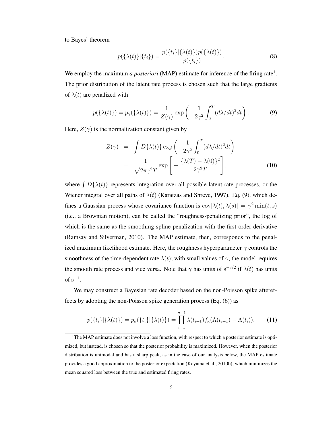to Bayes' theorem

$$
p(\{\lambda(t)\}|\{t_i\}) = \frac{p(\{t_i\}|\{\lambda(t)\})p(\{\lambda(t)\})}{p(\{t_i\})}.
$$
\n(8)

We employ the maximum *a posteriori* (MAP) estimate for inference of the firing rate<sup>1</sup>. The prior distribution of the latent rate process is chosen such that the large gradients of  $\lambda(t)$  are penalized with

$$
p(\{\lambda(t)\}) = p_{\gamma}(\{\lambda(t)\}) = \frac{1}{Z(\gamma)} \exp\left(-\frac{1}{2\gamma^2} \int_0^T (d\lambda/dt)^2 dt\right). \tag{9}
$$

Here,  $Z(\gamma)$  is the normalization constant given by

$$
Z(\gamma) = \int D\{\lambda(t)\} \exp\left(-\frac{1}{2\gamma^2} \int_0^T (d\lambda/dt)^2 dt\right)
$$
  
= 
$$
\frac{1}{\sqrt{2\pi\gamma^2 T}} \exp\left[-\frac{\{\lambda(T) - \lambda(0)\}^2}{2\gamma^2 T}\right],
$$
 (10)

where  $[D\{\lambda(t)\}]$  represents integration over all possible latent rate processes, or the Wiener integral over all paths of  $\lambda(t)$  (Karatzas and Shreve, 1997). Eq. (9), which defines a Gaussian process whose covariance function is  $\text{cov}[\lambda(t), \lambda(s)] = \gamma^2 \min(t, s)$ (i.e., a Brownian motion), can be called the "roughness-penalizing prior", the log of which is the same as the smoothing-spline penalization with the first-order derivative (Ramsay and Silverman, 2010). The MAP estimate, then, corresponds to the penalized maximum likelihood estimate. Here, the roughness hyperparameter  $\gamma$  controls the smoothness of the time-dependent rate  $\lambda(t)$ ; with small values of  $\gamma$ , the model requires the smooth rate process and vice versa. Note that  $\gamma$  has units of s<sup>-3/2</sup> if  $\lambda(t)$  has units of  $s^{-1}$ .

We may construct a Bayesian rate decoder based on the non-Poisson spike aftereffects by adopting the non-Poisson spike generation process (Eq. (6)) as

$$
p(\{t_i\}|\{\lambda(t)\}) = p_{\kappa}(\{t_i\}|\{\lambda(t)\}) = \prod_{i=1}^{n-1} \lambda(t_{i+1}) f_{\kappa}(\Lambda(t_{i+1}) - \Lambda(t_i)).
$$
 (11)

<sup>&</sup>lt;sup>1</sup>The MAP estimate does not involve a loss function, with respect to which a posterior estimate is optimized, but instead, is chosen so that the posterior probability is maximized. However, when the posterior distribution is unimodal and has a sharp peak, as in the case of our analysis below, the MAP estimate provides a good approximation to the posterior expectation (Koyama et al., 2010b), which minimizes the mean squared loss between the true and estimated firing rates.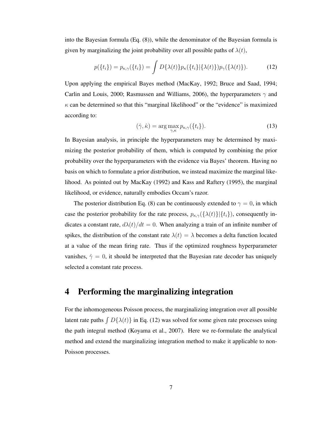into the Bayesian formula (Eq. (8)), while the denominator of the Bayesian formula is given by marginalizing the joint probability over all possible paths of  $\lambda(t)$ ,

$$
p(\{t_i\}) = p_{\kappa,\gamma}(\{t_i\}) = \int D\{\lambda(t)\} p_{\kappa}(\{t_i\}|\{\lambda(t)\}) p_{\gamma}(\{\lambda(t)\}). \tag{12}
$$

Upon applying the empirical Bayes method (MacKay, 1992; Bruce and Saad, 1994; Carlin and Louis, 2000; Rasmussen and Williams, 2006), the hyperparameters  $\gamma$  and  $\kappa$  can be determined so that this "marginal likelihood" or the "evidence" is maximized according to:

$$
(\hat{\gamma}, \hat{\kappa}) = \arg \max_{\gamma, \kappa} p_{\kappa, \gamma} (\{t_i\}). \tag{13}
$$

In Bayesian analysis, in principle the hyperparameters may be determined by maximizing the posterior probability of them, which is computed by combining the prior probability over the hyperparameters with the evidence via Bayes' theorem. Having no basis on which to formulate a prior distribution, we instead maximize the marginal likelihood. As pointed out by MacKay (1992) and Kass and Raftery (1995), the marginal likelihood, or evidence, naturally embodies Occam's razor.

The posterior distribution Eq. (8) can be continuously extended to  $\gamma = 0$ , in which case the posterior probability for the rate process,  $p_{\kappa,\gamma}(\{\lambda(t)\}|\{t_i\})$ , consequently indicates a constant rate,  $d\lambda(t)/dt = 0$ . When analyzing a train of an infinite number of spikes, the distribution of the constant rate  $\lambda(t) = \lambda$  becomes a delta function located at a value of the mean firing rate. Thus if the optimized roughness hyperparameter vanishes,  $\hat{\gamma} = 0$ , it should be interpreted that the Bayesian rate decoder has uniquely selected a constant rate process.

## 4 Performing the marginalizing integration

For the inhomogeneous Poisson process, the marginalizing integration over all possible latent rate paths  $\int D\{\lambda(t)\}\$ in Eq. (12) was solved for some given rate processes using the path integral method (Koyama et al., 2007). Here we re-formulate the analytical method and extend the marginalizing integration method to make it applicable to non-Poisson processes.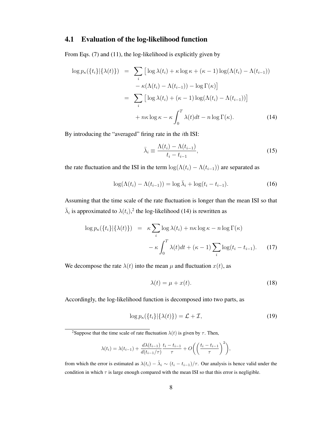### 4.1 Evaluation of the log-likelihood function

From Eqs. (7) and (11), the log-likelihood is explicitly given by

$$
\log p_{\kappa}(\lbrace t_{i} \rbrace | \lbrace \lambda(t) \rbrace) = \sum_{i} \left[ \log \lambda(t_{i}) + \kappa \log \kappa + (\kappa - 1) \log(\Lambda(t_{i}) - \Lambda(t_{i-1})) -\kappa(\Lambda(t_{i}) - \Lambda(t_{i-1})) - \log \Gamma(\kappa) \right]
$$

$$
= \sum_{i} \left[ \log \lambda(t_{i}) + (\kappa - 1) \log(\Lambda(t_{i}) - \Lambda(t_{i-1})) \right]
$$

$$
+ n\kappa \log \kappa - \kappa \int_{0}^{T} \lambda(t)dt - n \log \Gamma(\kappa). \tag{14}
$$

By introducing the "averaged" firing rate in the ith ISI:

$$
\bar{\lambda}_i \equiv \frac{\Lambda(t_i) - \Lambda(t_{i-1})}{t_i - t_{i-1}},\tag{15}
$$

the rate fluctuation and the ISI in the term  $\log(\Lambda(t_i) - \Lambda(t_{i-1}))$  are separated as

$$
\log(\Lambda(t_i) - \Lambda(t_{i-1})) = \log \bar{\lambda}_i + \log(t_i - t_{i-1}).
$$
\n(16)

Assuming that the time scale of the rate fluctuation is longer than the mean ISI so that  $\bar{\lambda}_i$  is approximated to  $\lambda(t_i)$ ,<sup>2</sup> the log-likelihood (14) is rewritten as

$$
\log p_{\kappa}(\lbrace t_{i} \rbrace | \lbrace \lambda(t) \rbrace) = \kappa \sum_{i} \log \lambda(t_{i}) + n\kappa \log \kappa - n \log \Gamma(\kappa)
$$

$$
- \kappa \int_{0}^{T} \lambda(t)dt + (\kappa - 1) \sum_{i} \log(t_{i} - t_{i-1}). \tag{17}
$$

We decompose the rate  $\lambda(t)$  into the mean  $\mu$  and fluctuation  $x(t)$ , as

$$
\lambda(t) = \mu + x(t). \tag{18}
$$

Accordingly, the log-likelihood function is decomposed into two parts, as

$$
\log p_{\kappa}(\lbrace t_i \rbrace | \lbrace \lambda(t) \rbrace) = \mathcal{L} + \mathcal{I},\tag{19}
$$

<sup>2</sup>Suppose that the time scale of rate fluctuation  $\lambda(t)$  is given by  $\tau$ . Then,

$$
\lambda(t_i) = \lambda(t_{i-1}) + \frac{d\lambda(t_{i-1})}{d(t_{i-1}/\tau)} \frac{t_i - t_{i-1}}{\tau} + O\left(\left(\frac{t_i - t_{i-1}}{\tau}\right)^2\right),\,
$$

from which the error is estimated as  $\lambda(t_i) - \hat{\lambda}_i \sim (t_i - t_{i-1})/\tau$ . Our analysis is hence valid under the condition in which  $\tau$  is large enough compared with the mean ISI so that this error is negligible.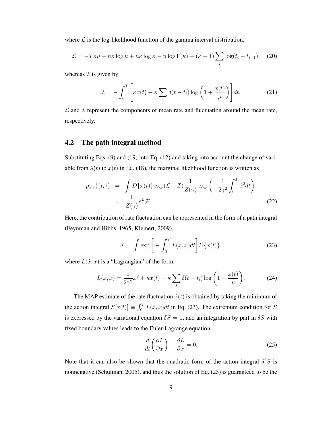where  $\mathcal L$  is the log-likelihood function of the gamma interval distribution,

$$
\mathcal{L} = -T\kappa\mu + n\kappa \log \mu + n\kappa \log \kappa - n \log \Gamma(\kappa) + (\kappa - 1) \sum_{i} \log(t_i - t_{i-1}), \quad (20)
$$

whereas  $\mathcal I$  is given by

$$
\mathcal{I} = -\int_0^T \left[ \kappa x(t) - \kappa \sum_i \delta(t - t_i) \log \left( 1 + \frac{x(t)}{\mu} \right) \right] dt.
$$
 (21)

 $\mathcal L$  and  $\mathcal I$  represent the components of mean rate and fluctuation around the mean rate, respectively.

### 4.2 The path integral method

Substituting Eqs. (9) and (19) into Eq. (12) and taking into account the change of variable from  $\lambda(t)$  to  $x(t)$  in Eq. (18), the marginal likelihood function is written as

$$
p_{\gamma,\kappa}(\lbrace t_i \rbrace) = \int D\lbrace x(t) \rbrace \exp(\mathcal{L} + \mathcal{I}) \frac{1}{Z(\gamma)} \exp\left(-\frac{1}{2\gamma^2} \int_0^T \dot{x}^2 dt\right)
$$
  
= 
$$
\frac{1}{Z(\gamma)} e^{\mathcal{L}} \mathcal{F}.
$$
 (22)

Here, the contribution of rate fluctuation can be represented in the form of a path integral (Feynman and Hibbs, 1965; Kleinert, 2009),

$$
\mathcal{F} = \int \exp\left[-\int_0^T L(\dot{x}, x) dt\right] D\{x(t)\},\tag{23}
$$

where  $L(x, x)$  is a "Lagrangian" of the form,

$$
L(\dot{x}, x) = \frac{1}{2\gamma^2} \dot{x}^2 + \kappa x(t) - \kappa \sum_{i} \delta(t - t_i) \log\left(1 + \frac{x(t)}{\mu}\right).
$$
 (24)

The MAP estimate of the rate fluctuation  $\hat{x}(t)$  is obtained by taking the minimum of the action integral  $S[x(t)] \equiv \int_0^T L(\dot{x}, x) dt$  in Eq. (23). The extremum condition for S is expressed by the variational equation  $\delta S = 0$ , and an integration by part in  $\delta S$  with fixed boundary values leads to the Euler-Lagrange equation:

$$
\frac{d}{dt}\left(\frac{\partial L}{\partial \dot{x}}\right) - \frac{\partial L}{\partial x} = 0.
$$
\n(25)

Note that it can also be shown that the quadratic form of the action integral  $\delta^2 S$  is nonnegative (Schulman, 2005), and thus the solution of Eq. (25) is guaranteed to be the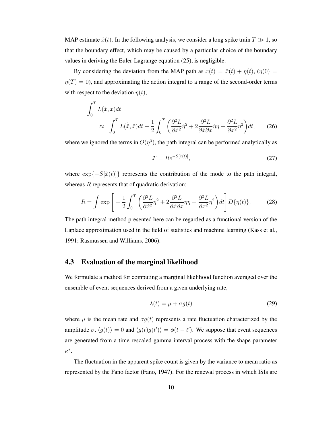MAP estimate  $\hat{x}(t)$ . In the following analysis, we consider a long spike train  $T \gg 1$ , so that the boundary effect, which may be caused by a particular choice of the boundary values in deriving the Euler-Lagrange equation (25), is negligible.

By considering the deviation from the MAP path as  $x(t) = \hat{x}(t) + \eta(t)$ , ( $\eta(0) =$  $\eta(T)=0$ ), and approximating the action integral to a range of the second-order terms with respect to the deviation  $\eta(t)$ ,

$$
\int_0^T L(\dot{x}, x)dt
$$
  
\n
$$
\approx \int_0^T L(\dot{\dot{x}}, \hat{x})dt + \frac{1}{2} \int_0^T \left( \frac{\partial^2 L}{\partial \dot{x}^2} \dot{\eta}^2 + 2 \frac{\partial^2 L}{\partial \dot{x} \partial x} \dot{\eta} \eta + \frac{\partial^2 L}{\partial x^2} \eta^2 \right) dt,
$$
 (26)

where we ignored the terms in  $O(\eta^3)$ , the path integral can be performed analytically as

$$
\mathcal{F} = Re^{-S[\hat{x}(t)]},\tag{27}
$$

where  $\exp\{-S[\hat{x}(t)]\}$  represents the contribution of the mode to the path integral, whereas  $R$  represents that of quadratic derivation:

$$
R = \int \exp\left[-\frac{1}{2}\int_0^T \left(\frac{\partial^2 L}{\partial \dot{x}^2} \dot{\eta}^2 + 2\frac{\partial^2 L}{\partial \dot{x} \partial x} \dot{\eta} \eta + \frac{\partial^2 L}{\partial x^2} \eta^2\right) dt\right] D\{\eta(t)\}.
$$
 (28)

The path integral method presented here can be regarded as a functional version of the Laplace approximation used in the field of statistics and machine learning (Kass et al., 1991; Rasmussen and Williams, 2006).

#### 4.3 Evaluation of the marginal likelihood

We formulate a method for computing a marginal likelihood function averaged over the ensemble of event sequences derived from a given underlying rate,

$$
\lambda(t) = \mu + \sigma g(t) \tag{29}
$$

where  $\mu$  is the mean rate and  $\sigma g(t)$  represents a rate fluctuation characterized by the amplitude  $\sigma$ ,  $\langle g(t) \rangle = 0$  and  $\langle g(t)g(t') \rangle = \phi(t - t')$ . We suppose that event sequences are generated from a time rescaled gamma interval process with the shape parameter  $\kappa^*$ .

The fluctuation in the apparent spike count is given by the variance to mean ratio as represented by the Fano factor (Fano, 1947). For the renewal process in which ISIs are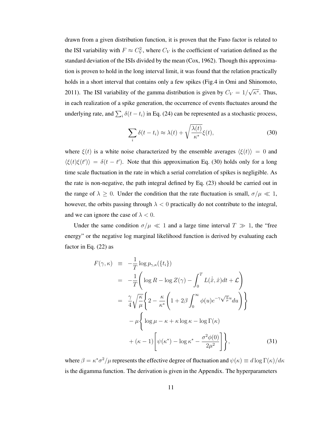drawn from a given distribution function, it is proven that the Fano factor is related to the ISI variability with  $F \approx C_V^2$ , where  $C_V$  is the coefficient of variation defined as the standard deviation of the ISIs divided by the mean (Cox, 1962). Though this approximation is proven to hold in the long interval limit, it was found that the relation practically holds in a short interval that contains only a few spikes (Fig.4 in Omi and Shinomoto, 2011). The ISI variability of the gamma distribution is given by  $C_V = 1/\sqrt{\kappa^*}$ . Thus, in each realization of a spike generation, the occurrence of events fluctuates around the underlying rate, and  $\sum_i \delta(t - t_i)$  in Eq. (24) can be represented as a stochastic process,

$$
\sum_{i} \delta(t - t_i) \approx \lambda(t) + \sqrt{\frac{\lambda(t)}{\kappa^*}} \xi(t), \tag{30}
$$

where  $\xi(t)$  is a white noise characterized by the ensemble averages  $\langle \xi(t) \rangle = 0$  and  $\langle \xi(t)\xi(t') \rangle = \delta(t-t')$ . Note that this approximation Eq. (30) holds only for a long time scale fluctuation in the rate in which a serial correlation of spikes is negligible. As the rate is non-negative, the path integral defined by Eq. (23) should be carried out in the range of  $\lambda \geq 0$ . Under the condition that the rate fluctuation is small,  $\sigma/\mu \ll 1$ , however, the orbits passing through  $\lambda < 0$  practically do not contribute to the integral, and we can ignore the case of  $\lambda < 0$ .

Under the same condition  $\sigma/\mu \ll 1$  and a large time interval  $T \gg 1$ , the "free energy" or the negative log marginal likelihood function is derived by evaluating each factor in Eq. (22) as

$$
F(\gamma, \kappa) = -\frac{1}{T} \log p_{\gamma, \kappa}(\{t_i\})
$$
  
\n
$$
= -\frac{1}{T} \left( \log R - \log Z(\gamma) - \int_0^T L(\dot{\hat{x}}, \hat{x}) dt + \mathcal{L} \right)
$$
  
\n
$$
= \frac{\gamma}{4} \sqrt{\frac{\kappa}{\mu}} \left\{ 2 - \frac{\kappa}{\kappa^*} \left( 1 + 2\beta \int_0^\infty \phi(u) e^{-\gamma \sqrt{\frac{\kappa}{\mu}} u} du \right) \right\}
$$
  
\n
$$
- \mu \left\{ \log \mu - \kappa + \kappa \log \kappa - \log \Gamma(\kappa) + (\kappa - 1) \left[ \psi(\kappa^*) - \log \kappa^* - \frac{\sigma^2 \phi(0)}{2\mu^2} \right] \right\},
$$
(31)

where  $\beta = \kappa^* \sigma^2 / \mu$  represents the effective degree of fluctuation and  $\psi(\kappa) \equiv d \log \Gamma(\kappa) / d\kappa$ is the digamma function. The derivation is given in the Appendix. The hyperparameters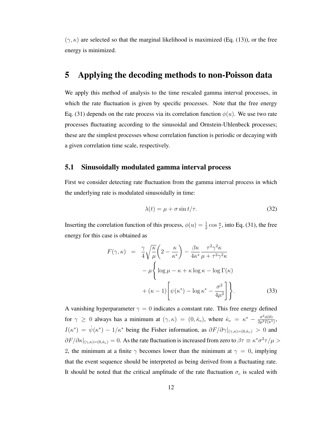$(\gamma, \kappa)$  are selected so that the marginal likelihood is maximized (Eq. (13)), or the free energy is minimized.

### 5 Applying the decoding methods to non-Poisson data

We apply this method of analysis to the time rescaled gamma interval processes, in which the rate fluctuation is given by specific processes. Note that the free energy Eq. (31) depends on the rate process via its correlation function  $\phi(u)$ . We use two rate processes fluctuating according to the sinusoidal and Ornstein-Uhlenbeck processes; these are the simplest processes whose correlation function is periodic or decaying with a given correlation time scale, respectively.

### 5.1 Sinusoidally modulated gamma interval process

First we consider detecting rate fluctuation from the gamma interval process in which the underlying rate is modulated sinusoidally in time:

$$
\lambda(t) = \mu + \sigma \sin t/\tau. \tag{32}
$$

Inserting the correlation function of this process,  $\phi(u) = \frac{1}{2} \cos \frac{u}{\tau}$ , into Eq. (31), the free energy for this case is obtained as

$$
F(\gamma, \kappa) = \frac{\gamma}{4} \sqrt{\frac{\kappa}{\mu}} \left( 2 - \frac{\kappa}{\kappa^*} \right) - \frac{\beta \kappa}{4\kappa^*} \frac{\tau^2 \gamma^2 \kappa}{\mu + \tau^2 \gamma^2 \kappa} - \mu \left\{ \log \mu - \kappa + \kappa \log \kappa - \log \Gamma(\kappa) + (\kappa - 1) \left[ \psi(\kappa^*) - \log \kappa^* - \frac{\sigma^2}{4\mu^2} \right] \right\}.
$$
 (33)

A vanishing hyperparameter  $\gamma = 0$  indicates a constant rate. This free energy defined for  $\gamma \geq 0$  always has a minimum at  $(\gamma, \kappa) = (0, \hat{\kappa}_c)$ , where  $\hat{\kappa}_c = \kappa^* - \frac{\sigma^2 \phi(0)}{2\mu^2 I(\kappa^*)}$ ,  $I(\kappa^*) = \dot{\psi}(\kappa^*) - 1/\kappa^*$  being the Fisher information, as  $\partial F/\partial \gamma|_{(\gamma,\kappa)=(0,\hat{\kappa}_c)} > 0$  and  $\partial F/\partial \kappa|_{(\gamma,\kappa)=(0,\hat{\kappa}_c)}=0$ . As the rate fluctuation is increased from zero to  $\beta\tau\equiv \kappa^*\sigma^2\tau/\mu>$ 2, the minimum at a finite  $\gamma$  becomes lower than the minimum at  $\gamma = 0$ , implying that the event sequence should be interpreted as being derived from a fluctuating rate. It should be noted that the critical amplitude of the rate fluctuation  $\sigma_c$  is scaled with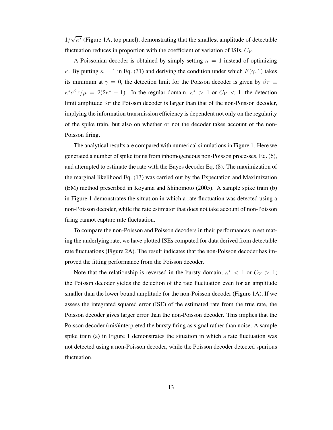$1/\sqrt{\kappa^*}$  (Figure 1A, top panel), demonstrating that the smallest amplitude of detectable fluctuation reduces in proportion with the coefficient of variation of ISIs,  $C_V$ .

A Poissonian decoder is obtained by simply setting  $\kappa = 1$  instead of optimizing κ. By putting  $\kappa = 1$  in Eq. (31) and deriving the condition under which  $F(\gamma, 1)$  takes its minimum at  $\gamma = 0$ , the detection limit for the Poisson decoder is given by  $\beta \tau \equiv$  $\kappa^* \sigma^2 \tau / \mu = 2(2\kappa^* - 1)$ . In the regular domain,  $\kappa^* > 1$  or  $C_V < 1$ , the detection limit amplitude for the Poisson decoder is larger than that of the non-Poisson decoder, implying the information transmission efficiency is dependent not only on the regularity of the spike train, but also on whether or not the decoder takes account of the non-Poisson firing.

The analytical results are compared with numerical simulations in Figure 1. Here we generated a number of spike trains from inhomogeneous non-Poisson processes, Eq. (6), and attempted to estimate the rate with the Bayes decoder Eq. (8). The maximization of the marginal likelihood Eq. (13) was carried out by the Expectation and Maximization (EM) method prescribed in Koyama and Shinomoto (2005). A sample spike train (b) in Figure 1 demonstrates the situation in which a rate fluctuation was detected using a non-Poisson decoder, while the rate estimator that does not take account of non-Poisson firing cannot capture rate fluctuation.

To compare the non-Poisson and Poisson decoders in their performances in estimating the underlying rate, we have plotted ISEs computed for data derived from detectable rate fluctuations (Figure 2A). The result indicates that the non-Poisson decoder has improved the fitting performance from the Poisson decoder.

Note that the relationship is reversed in the bursty domain,  $\kappa^* < 1$  or  $C_V > 1$ ; the Poisson decoder yields the detection of the rate fluctuation even for an amplitude smaller than the lower bound amplitude for the non-Poisson decoder (Figure 1A). If we assess the integrated squared error (ISE) of the estimated rate from the true rate, the Poisson decoder gives larger error than the non-Poisson decoder. This implies that the Poisson decoder (mis)interpreted the bursty firing as signal rather than noise. A sample spike train (a) in Figure 1 demonstrates the situation in which a rate fluctuation was not detected using a non-Poisson decoder, while the Poisson decoder detected spurious fluctuation.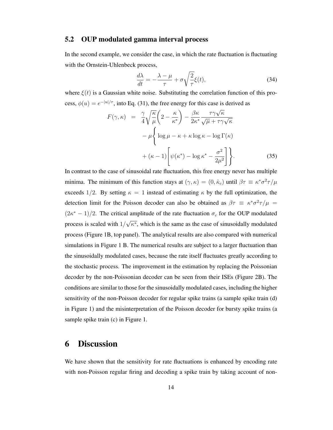#### 5.2 OUP modulated gamma interval process

In the second example, we consider the case, in which the rate fluctuation is fluctuating with the Ornstein-Uhlenbeck process,

$$
\frac{d\lambda}{dt} = -\frac{\lambda - \mu}{\tau} + \sigma \sqrt{\frac{2}{\tau}} \xi(t),\tag{34}
$$

where  $\xi(t)$  is a Gaussian white noise. Substituting the correlation function of this process,  $\phi(u) = e^{-|u|/\tau}$ , into Eq. (31), the free energy for this case is derived as

$$
F(\gamma, \kappa) = \frac{\gamma}{4} \sqrt{\frac{\kappa}{\mu}} \left( 2 - \frac{\kappa}{\kappa^*} \right) - \frac{\beta \kappa}{2\kappa^*} \frac{\tau \gamma \sqrt{\kappa}}{\sqrt{\mu} + \tau \gamma \sqrt{\kappa}} -\mu \left\{ \log \mu - \kappa + \kappa \log \kappa - \log \Gamma(\kappa) + (\kappa - 1) \left[ \psi(\kappa^*) - \log \kappa^* - \frac{\sigma^2}{2\mu^2} \right] \right\}.
$$
 (35)

In contrast to the case of sinusoidal rate fluctuation, this free energy never has multiple minima. The minimum of this function stays at  $(\gamma, \kappa) = (0, \hat{\kappa}_c)$  until  $\beta \tau \equiv \kappa^* \sigma^2 \tau / \mu$ exceeds 1/2. By setting  $\kappa = 1$  instead of estimating  $\kappa$  by the full optimization, the detection limit for the Poisson decoder can also be obtained as  $\beta \tau = \kappa^* \sigma^2 \tau / \mu$  $(2\kappa^* - 1)/2$ . The critical amplitude of the rate fluctuation  $\sigma_c$  for the OUP modulated process is scaled with  $1/\sqrt{\kappa^*}$ , which is the same as the case of sinusoidally modulated process (Figure 1B, top panel). The analytical results are also compared with numerical simulations in Figure 1 B. The numerical results are subject to a larger fluctuation than the sinusoidally modulated cases, because the rate itself fluctuates greatly according to the stochastic process. The improvement in the estimation by replacing the Poissonian decoder by the non-Poissonian decoder can be seen from their ISEs (Figure 2B). The conditions are similar to those for the sinusoidally modulated cases, including the higher sensitivity of the non-Poisson decoder for regular spike trains (a sample spike train (d) in Figure 1) and the misinterpretation of the Poisson decoder for bursty spike trains (a sample spike train (c) in Figure 1.

### 6 Discussion

We have shown that the sensitivity for rate fluctuations is enhanced by encoding rate with non-Poisson regular firing and decoding a spike train by taking account of non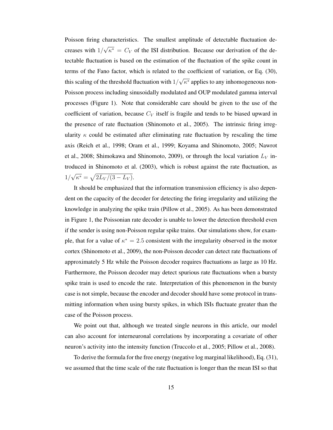Poisson firing characteristics. The smallest amplitude of detectable fluctuation decreases with  $1/\sqrt{\kappa^*} = C_V$  of the ISI distribution. Because our derivation of the detectable fluctuation is based on the estimation of the fluctuation of the spike count in terms of the Fano factor, which is related to the coefficient of variation, or Eq. (30), this scaling of the threshold fluctuation with  $1/\sqrt{\kappa^*}$  applies to any inhomogeneous non-Poisson process including sinusoidally modulated and OUP modulated gamma interval processes (Figure 1). Note that considerable care should be given to the use of the coefficient of variation, because  $C_V$  itself is fragile and tends to be biased upward in the presence of rate fluctuation (Shinomoto et al., 2005). The intrinsic firing irregularity  $\kappa$  could be estimated after eliminating rate fluctuation by rescaling the time axis (Reich et al., 1998; Oram et al., 1999; Koyama and Shinomoto, 2005; Nawrot et al., 2008; Shimokawa and Shinomoto, 2009), or through the local variation  $L_V$  introduced in Shinomoto et al. (2003), which is robust against the rate fluctuation, as  $1/\sqrt{\kappa^*} = \sqrt{2L_V/(3-L_V)}$ .

It should be emphasized that the information transmission efficiency is also dependent on the capacity of the decoder for detecting the firing irregularity and utilizing the knowledge in analyzing the spike train (Pillow et al., 2005). As has been demonstrated in Figure 1, the Poissonian rate decoder is unable to lower the detection threshold even if the sender is using non-Poisson regular spike trains. Our simulations show, for example, that for a value of  $\kappa^* = 2.5$  consistent with the irregularity observed in the motor cortex (Shinomoto et al., 2009), the non-Poisson decoder can detect rate fluctuations of approximately 5 Hz while the Poisson decoder requires fluctuations as large as 10 Hz. Furthermore, the Poisson decoder may detect spurious rate fluctuations when a bursty spike train is used to encode the rate. Interpretation of this phenomenon in the bursty case is not simple, because the encoder and decoder should have some protocol in transmitting information when using bursty spikes, in which ISIs fluctuate greater than the case of the Poisson process.

We point out that, although we treated single neurons in this article, our model can also account for interneuronal correlations by incorporating a covariate of other neuron's activity into the intensity function (Truccolo et al., 2005; Pillow et al., 2008).

To derive the formula for the free energy (negative log marginal likelihood), Eq. (31), we assumed that the time scale of the rate fluctuation is longer than the mean ISI so that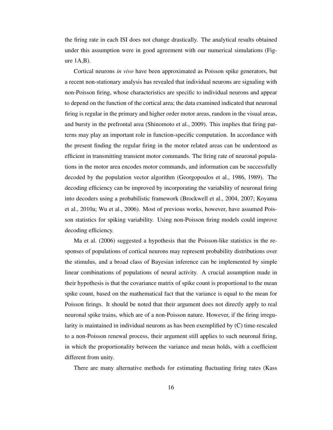the firing rate in each ISI does not change drastically. The analytical results obtained under this assumption were in good agreement with our numerical simulations (Figure 1A,B).

Cortical neurons *in vivo* have been approximated as Poisson spike generators, but a recent non-stationary analysis has revealed that individual neurons are signaling with non-Poisson firing, whose characteristics are specific to individual neurons and appear to depend on the function of the cortical area; the data examined indicated that neuronal firing is regular in the primary and higher order motor areas, random in the visual areas, and bursty in the prefrontal area (Shinomoto et al., 2009). This implies that firing patterns may play an important role in function-specific computation. In accordance with the present finding the regular firing in the motor related areas can be understood as efficient in transmitting transient motor commands. The firing rate of neuronal populations in the motor area encodes motor commands, and information can be successfully decoded by the population vector algorithm (Georgopoulos et al., 1986, 1989). The decoding efficiency can be improved by incorporating the variability of neuronal firing into decoders using a probabilistic framework (Brockwell et al., 2004, 2007; Koyama et al., 2010a; Wu et al., 2006). Most of previous works, however, have assumed Poisson statistics for spiking variability. Using non-Poisson firing models could improve decoding efficiency.

Ma et al. (2006) suggested a hypothesis that the Poisson-like statistics in the responses of populations of cortical neurons may represent probability distributions over the stimulus, and a broad class of Bayesian inference can be implemented by simple linear combinations of populations of neural activity. A crucial assumption made in their hypothesis is that the covariance matrix of spike count is proportional to the mean spike count, based on the mathematical fact that the variance is equal to the mean for Poisson firings. It should be noted that their argument does not directly apply to real neuronal spike trains, which are of a non-Poisson nature. However, if the firing irregularity is maintained in individual neurons as has been exemplified by (C) time-rescaled to a non-Poisson renewal process, their argument still applies to such neuronal firing, in which the proportionality between the variance and mean holds, with a coefficient different from unity.

There are many alternative methods for estimating fluctuating firing rates (Kass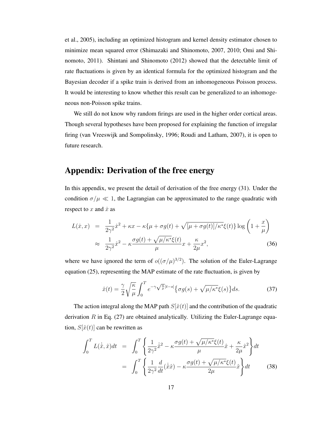et al., 2005), including an optimized histogram and kernel density estimator chosen to minimize mean squared error (Shimazaki and Shinomoto, 2007, 2010; Omi and Shinomoto, 2011). Shintani and Shinomoto (2012) showed that the detectable limit of rate fluctuations is given by an identical formula for the optimized histogram and the Bayesian decoder if a spike train is derived from an inhomogeneous Poisson process. It would be interesting to know whether this result can be generalized to an inhomogeneous non-Poisson spike trains.

We still do not know why random firings are used in the higher order cortical areas. Though several hypotheses have been proposed for explaining the function of irregular firing (van Vreeswijk and Sompolinsky, 1996; Roudi and Latham, 2007), it is open to future research.

### Appendix: Derivation of the free energy

In this appendix, we present the detail of derivation of the free energy (31). Under the condition  $\sigma/\mu \ll 1$ , the Lagrangian can be approximated to the range quadratic with respect to  $x$  and  $\dot{x}$  as

$$
L(\dot{x}, x) = \frac{1}{2\gamma^2} \dot{x}^2 + \kappa x - \kappa \{\mu + \sigma g(t) + \sqrt{[\mu + \sigma g(t)]/\kappa^*} \xi(t)\} \log \left(1 + \frac{x}{\mu}\right)
$$
  

$$
\approx \frac{1}{2\gamma^2} \dot{x}^2 - \kappa \frac{\sigma g(t) + \sqrt{\mu/\kappa^*} \xi(t)}{\mu} x + \frac{\kappa}{2\mu} x^2,
$$
 (36)

where we have ignored the term of  $o((\sigma/\mu)^{3/2})$ . The solution of the Euler-Lagrange equation (25), representing the MAP estimate of the rate fluctuation, is given by

$$
\hat{x}(t) = \frac{\gamma}{2} \sqrt{\frac{\kappa}{\mu}} \int_0^T e^{-\gamma \sqrt{\frac{\kappa}{\mu}} |t-s|} \{ \sigma g(s) + \sqrt{\mu/\kappa^*} \xi(s) \} ds.
$$
 (37)

The action integral along the MAP path  $S[\hat{x}(t)]$  and the contribution of the quadratic derivation  $R$  in Eq. (27) are obtained analytically. Utilizing the Euler-Lagrange equation,  $S[\hat{x}(t)]$  can be rewritten as

$$
\int_0^T L(\dot{\hat{x}}, \hat{x}) dt = \int_0^T \left\{ \frac{1}{2\gamma^2} \dot{\hat{x}}^2 - \kappa \frac{\sigma g(t) + \sqrt{\mu/\kappa^*} \xi(t)}{\mu} \hat{x} + \frac{\kappa}{2\mu} \hat{x}^2 \right\} dt
$$

$$
= \int_0^T \left\{ \frac{1}{2\gamma^2} \frac{d}{dt} (\dot{\hat{x}} \hat{x}) - \kappa \frac{\sigma g(t) + \sqrt{\mu/\kappa^*} \xi(t)}{2\mu} \hat{x} \right\} dt
$$
(38)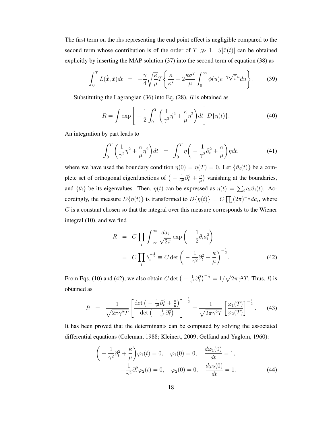The first term on the rhs representing the end point effect is negligible compared to the second term whose contribution is of the order of  $T \gg 1$ .  $S[\hat{x}(t)]$  can be obtained explicitly by inserting the MAP solution (37) into the second term of equation (38) as

$$
\int_0^T L(\dot{\hat{x}}, \hat{x}) dt = -\frac{\gamma}{4} \sqrt{\frac{\kappa}{\mu}} T \left\{ \frac{\kappa}{\kappa^*} + 2 \frac{\kappa \sigma^2}{\mu} \int_0^\infty \phi(u) e^{-\gamma \sqrt{\frac{\kappa}{\mu}} u} du \right\}.
$$
 (39)

Substituting the Lagrangian  $(36)$  into Eq.  $(28)$ , R is obtained as

$$
R = \int \exp\left[-\frac{1}{2}\int_0^T \left(\frac{1}{\gamma^2}\dot{\eta}^2 + \frac{\kappa}{\mu}\eta^2\right)dt\right] D\{\eta(t)\}.
$$
 (40)

An integration by part leads to

$$
\int_0^T \left(\frac{1}{\gamma^2} \dot{\eta}^2 + \frac{\kappa}{\mu} \eta^2\right) dt = \int_0^T \eta \left(-\frac{1}{\gamma^2} \partial_t^2 + \frac{\kappa}{\mu}\right) \eta dt,\tag{41}
$$

where we have used the boundary condition  $\eta(0) = \eta(T) = 0$ . Let  $\{\vartheta_i(t)\}\$ be a complete set of orthogonal eigenfunctions of  $\left(-\frac{1}{\gamma^2}\partial_t^2 + \frac{\kappa}{\mu}\right)$  vanishing at the boundaries, and  $\{\theta_i\}$  be its eigenvalues. Then,  $\eta(t)$  can be expressed as  $\eta(t) = \sum_i a_i \vartheta_i(t)$ . Accordingly, the measure  $D\{\eta(t)\}\$ is transformed to  $D\{\eta(t)\} = C \prod_i (2\pi)^{-\frac{1}{2}} da_i$ , where  $C$  is a constant chosen so that the integral over this measure corresponds to the Wiener integral (10), and we find

$$
R = C \prod_{i} \int_{-\infty}^{\infty} \frac{da_i}{\sqrt{2\pi}} \exp\left(-\frac{1}{2}\theta_i a_i^2\right)
$$
  
= 
$$
C \prod_{i} \theta_i^{-\frac{1}{2}} \equiv C \det\left(-\frac{1}{\gamma^2} \partial_t^2 + \frac{\kappa}{\mu}\right)^{-\frac{1}{2}}.
$$
 (42)

From Eqs. (10) and (42), we also obtain  $C \det \left(-\frac{1}{\gamma^2} \partial_t^2\right)^{-\frac{1}{2}} = 1/\sqrt{2\pi \gamma^2 T}$ . Thus, R is obtained as

$$
R = \frac{1}{\sqrt{2\pi\gamma^2T}} \left[ \frac{\det\left(-\frac{1}{\gamma^2}\partial_t^2 + \frac{\kappa}{\mu}\right)}{\det\left(-\frac{1}{\gamma^2}\partial_t^2\right)} \right]^{-\frac{1}{2}} = \frac{1}{\sqrt{2\pi\gamma^2T}} \left[ \frac{\varphi_1(T)}{\varphi_2(T)} \right]^{-\frac{1}{2}}.
$$
 (43)

It has been proved that the determinants can be computed by solving the associated differential equations (Coleman, 1988; Kleinert, 2009; Gelfand and Yaglom, 1960):

$$
\left(-\frac{1}{\gamma^2}\partial_t^2 + \frac{\kappa}{\mu}\right)\varphi_1(t) = 0, \quad \varphi_1(0) = 0, \quad \frac{d\varphi_1(0)}{dt} = 1, -\frac{1}{\gamma^2}\partial_t^2\varphi_2(t) = 0, \quad \varphi_2(0) = 0, \quad \frac{d\varphi_2(0)}{dt} = 1.
$$
 (44)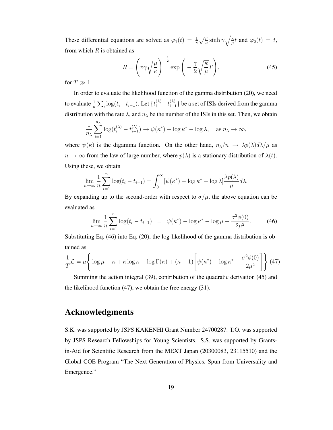These differential equations are solved as  $\varphi_1(t) = \frac{1}{\gamma} \sqrt{\frac{\mu}{\kappa}} \sinh \gamma \sqrt{\frac{\kappa}{\mu}} t$  and  $\varphi_2(t) = t$ , from which  $R$  is obtained as

$$
R = \left(\pi\gamma\sqrt{\frac{\mu}{\kappa}}\right)^{-\frac{1}{2}}\exp\left(-\frac{\gamma}{2}\sqrt{\frac{\kappa}{\mu}}T\right),\tag{45}
$$

for  $T \gg 1$ .

In order to evaluate the likelihood function of the gamma distribution (20), we need to evaluate  $\frac{1}{n} \sum_i \log(t_i - t_{i-1})$ . Let  $\{t_i^{(\lambda)} - t_{i-1}^{(\lambda)}\}$  be a set of ISIs derived from the gamma distribution with the rate  $\lambda$ , and  $n_{\lambda}$  be the number of the ISIs in this set. Then, we obtain

$$
\frac{1}{n_{\lambda}}\sum_{i=1}^{n_{\lambda}}\log(t_i^{(\lambda)}-t_{i-1}^{(\lambda)}) \to \psi(\kappa^*) - \log \kappa^* - \log \lambda, \quad \text{as } n_{\lambda} \to \infty,
$$

where  $\psi(\kappa)$  is the digamma function. On the other hand,  $n_{\lambda}/n \rightarrow \lambda p(\lambda) d\lambda/\mu$  as  $n \to \infty$  from the law of large number, where  $p(\lambda)$  is a stationary distribution of  $\lambda(t)$ . Using these, we obtain

$$
\lim_{n \to \infty} \frac{1}{n} \sum_{i=1}^{n} \log(t_i - t_{i-1}) = \int_0^{\infty} [\psi(\kappa^*) - \log \kappa^* - \log \lambda] \frac{\lambda p(\lambda)}{\mu} d\lambda.
$$

By expanding up to the second-order with respect to  $\sigma/\mu$ , the above equation can be evaluated as

$$
\lim_{n \to \infty} \frac{1}{n} \sum_{i=1}^{n} \log(t_i - t_{i-1}) = \psi(\kappa^*) - \log \kappa^* - \log \mu - \frac{\sigma^2 \phi(0)}{2\mu^2}.
$$
 (46)

Substituting Eq. (46) into Eq. (20), the log-likelihood of the gamma distribution is obtained as

$$
\frac{1}{T}\mathcal{L} = \mu \left\{ \log \mu - \kappa + \kappa \log \kappa - \log \Gamma(\kappa) + (\kappa - 1) \left[ \psi(\kappa^*) - \log \kappa^* - \frac{\sigma^2 \phi(0)}{2\mu^2} \right] \right\} . (47)
$$

Summing the action integral (39), contribution of the quadratic derivation (45) and the likelihood function (47), we obtain the free energy (31).

## Acknowledgments

S.K. was supported by JSPS KAKENHI Grant Number 24700287. T.O. was supported by JSPS Research Fellowships for Young Scientists. S.S. was supported by Grantsin-Aid for Scientific Research from the MEXT Japan (20300083, 23115510) and the Global COE Program "The Next Generation of Physics, Spun from Universality and Emergence."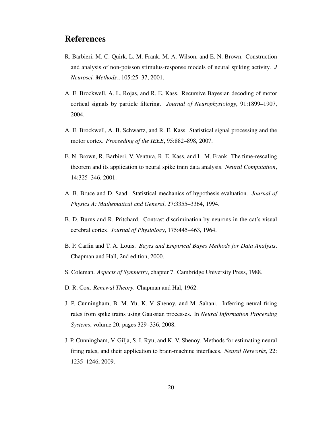## References

- R. Barbieri, M. C. Quirk, L. M. Frank, M. A. Wilson, and E. N. Brown. Construction and analysis of non-poisson stimulus-response models of neural spiking activity. *J Neurosci. Methods.*, 105:25–37, 2001.
- A. E. Brockwell, A. L. Rojas, and R. E. Kass. Recursive Bayesian decoding of motor cortical signals by particle filtering. *Journal of Neurophysiology*, 91:1899–1907, 2004.
- A. E. Brockwell, A. B. Schwartz, and R. E. Kass. Statistical signal processing and the motor cortex. *Proceeding of the IEEE*, 95:882–898, 2007.
- E. N. Brown, R. Barbieri, V. Ventura, R. E. Kass, and L. M. Frank. The time-rescaling theorem and its application to neural spike train data analysis. *Neural Computation*, 14:325–346, 2001.
- A. B. Bruce and D. Saad. Statistical mechanics of hypothesis evaluation. *Journal of Physics A: Mathematical and General*, 27:3355–3364, 1994.
- B. D. Burns and R. Pritchard. Contrast discrimination by neurons in the cat's visual cerebral cortex. *Journal of Physiology*, 175:445–463, 1964.
- B. P. Carlin and T. A. Louis. *Bayes and Empirical Bayes Methods for Data Analysis*. Chapman and Hall, 2nd edition, 2000.
- S. Coleman. *Aspects of Symmetry*, chapter 7. Cambridge University Press, 1988.
- D. R. Cox. *Renewal Theory*. Chapman and Hal, 1962.
- J. P. Cunningham, B. M. Yu, K. V. Shenoy, and M. Sahani. Inferring neural firing rates from spike trains using Gaussian processes. In *Neural Information Processing Systems*, volume 20, pages 329–336, 2008.
- J. P. Cunningham, V. Gilja, S. I. Ryu, and K. V. Shenoy. Methods for estimating neural firing rates, and their application to brain-machine interfaces. *Neural Networks*, 22: 1235–1246, 2009.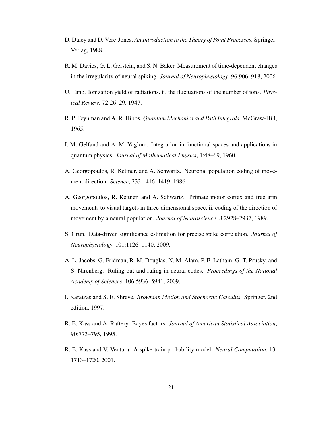- D. Daley and D. Vere-Jones. *An Introduction to the Theory of Point Processes*. Springer-Verlag, 1988.
- R. M. Davies, G. L. Gerstein, and S. N. Baker. Measurement of time-dependent changes in the irregularity of neural spiking. *Journal of Neurophysiology*, 96:906–918, 2006.
- U. Fano. Ionization yield of radiations. ii. the fluctuations of the number of ions. *Physical Review*, 72:26–29, 1947.
- R. P. Feynman and A. R. Hibbs. *Quantum Mechanics and Path Integrals*. McGraw-Hill, 1965.
- I. M. Gelfand and A. M. Yaglom. Integration in functional spaces and applications in quantum physics. *Journal of Mathematical Physics*, 1:48–69, 1960.
- A. Georgopoulos, R. Kettner, and A. Schwartz. Neuronal population coding of movement direction. *Science*, 233:1416–1419, 1986.
- A. Georgopoulos, R. Kettner, and A. Schwartz. Primate motor cortex and free arm movements to visual targets in three-dimensional space. ii. coding of the direction of movement by a neural population. *Journal of Neuroscience*, 8:2928–2937, 1989.
- S. Grun. Data-driven significance estimation for precise spike correlation. *Journal of Neurophysiology*, 101:1126–1140, 2009.
- A. L. Jacobs, G. Fridman, R. M. Douglas, N. M. Alam, P. E. Latham, G. T. Prusky, and S. Nirenberg. Ruling out and ruling in neural codes. *Proceedings of the National Academy of Sciences*, 106:5936–5941, 2009.
- I. Karatzas and S. E. Shreve. *Brownian Motion and Stochastic Calculus*. Springer, 2nd edition, 1997.
- R. E. Kass and A. Raftery. Bayes factors. *Journal of American Statistical Association*, 90:773–795, 1995.
- R. E. Kass and V. Ventura. A spike-train probability model. *Neural Computation*, 13: 1713–1720, 2001.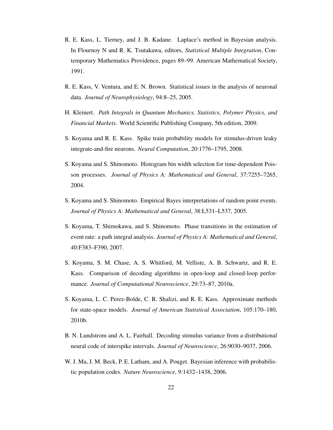- R. E. Kass, L. Tierney, and J. B. Kadane. Laplace's method in Bayesian analysis. In Flournoy N and R. K. Tsutakawa, editors, *Statistical Multiple Integration*, Contemporary Mathematics Providence, pages 89–99. American Mathematical Society, 1991.
- R. E. Kass, V. Ventura, and E. N. Brown. Statistical issues in the analysis of neuronal data. *Journal of Neurophysiology*, 94:8–25, 2005.
- H. Kleinert. *Path Integrals in Quantum Mechanics, Statistics, Polymer Physics, and Financial Markets*. World Scientific Publishing Company, 5th edition, 2009.
- S. Koyama and R. E. Kass. Spike train probability models for stimulus-driven leaky integrate-and-fire neurons. *Neural Computation*, 20:1776–1795, 2008.
- S. Koyama and S. Shinomoto. Histogram bin width selection for time-dependent Poisson processes. *Journal of Physics A: Mathematical and General*, 37:7255–7265, 2004.
- S. Koyama and S. Shinomoto. Empirical Bayes interpretations of random point events. *Journal of Physics A: Mathematical and General*, 38:L531–L537, 2005.
- S. Koyama, T. Shimokawa, and S. Shinomoto. Phase transitions in the estimation of event rate: a path integral analysis. *Journal of Physics A: Mathematical and General*, 40:F383–F390, 2007.
- S. Koyama, S. M. Chase, A. S. Whitford, M. Velliste, A. B. Schwartz, and R. E. Kass. Comparison of decoding algorithms in open-loop and closed-loop performance. *Journal of Computational Neuroscience*, 29:73–87, 2010a.
- S. Koyama, L. C. Perez-Bolde, C. R. Shalizi, and R. E. Kass. Approximate methods for state-space models. *Journal of American Statistical Association*, 105:170–180, 2010b.
- B. N. Lundstrom and A. L. Fairhall. Decoding stimulus variance from a distributional neural code of interspike intervals. *Journal of Neuroscience*, 26:9030–9037, 2006.
- W. J. Ma, J. M. Beck, P. E. Latham, and A. Pouget. Bayesian inference with probabilistic population codes. *Nature Neuroscience*, 9:1432–1438, 2006.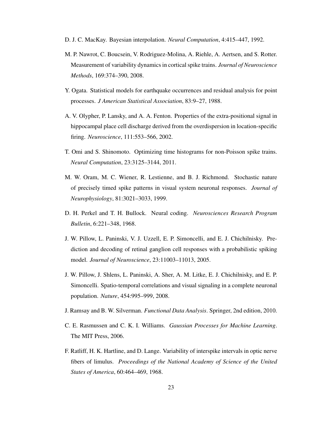- D. J. C. MacKay. Bayesian interpolation. *Neural Computation*, 4:415–447, 1992.
- M. P. Nawrot, C. Boucsein, V. Rodriguez-Molina, A. Riehle, A. Aertsen, and S. Rotter. Measurement of variability dynamics in cortical spike trains. *Journal of Neuroscience Methods*, 169:374–390, 2008.
- Y. Ogata. Statistical models for earthquake occurrences and residual analysis for point processes. *J American Statistical Association*, 83:9–27, 1988.
- A. V. Olypher, P. Lansky, and A. A. Fenton. Properties of the extra-positional signal in hippocampal place cell discharge derived from the overdispersion in location-specific firing. *Neuroscience*, 111:553–566, 2002.
- T. Omi and S. Shinomoto. Optimizing time histograms for non-Poisson spike trains. *Neural Computation*, 23:3125–3144, 2011.
- M. W. Oram, M. C. Wiener, R. Lestienne, and B. J. Richmond. Stochastic nature of precisely timed spike patterns in visual system neuronal responses. *Journal of Neurophysiology*, 81:3021–3033, 1999.
- D. H. Perkel and T. H. Bullock. Neural coding. *Neurosciences Research Program Bulletin*, 6:221–348, 1968.
- J. W. Pillow, L. Paninski, V. J. Uzzell, E. P. Simoncelli, and E. J. Chichilnisky. Prediction and decoding of retinal ganglion cell responses with a probabilistic spiking model. *Journal of Neuroscience*, 23:11003–11013, 2005.
- J. W. Pillow, J. Shlens, L. Paninski, A. Sher, A. M. Litke, E. J. Chichilnisky, and E. P. Simoncelli. Spatio-temporal correlations and visual signaling in a complete neuronal population. *Nature*, 454:995–999, 2008.
- J. Ramsay and B. W. Silverman. *Functional Data Analysis*. Springer, 2nd edition, 2010.
- C. E. Rasmussen and C. K. I. Williams. *Gaussian Processes for Machine Learning*. The MIT Press, 2006.
- F. Ratliff, H. K. Hartline, and D. Lange. Variability of interspike intervals in optic nerve fibers of limulus. *Proceedings of the National Academy of Science of the United States of America*, 60:464–469, 1968.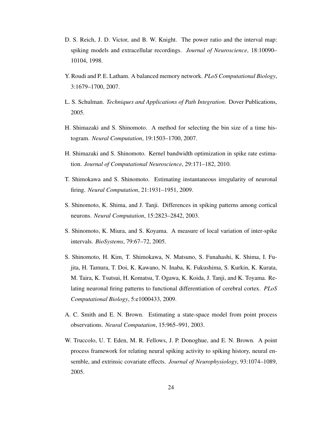- D. S. Reich, J. D. Victor, and B. W. Knight. The power ratio and the interval map: spiking models and extracellular recordings. *Journal of Neuroscience*, 18:10090– 10104, 1998.
- Y. Roudi and P. E. Latham. A balanced memory network. *PLoS Computational Biology*, 3:1679–1700, 2007.
- L. S. Schulman. *Techniques and Applications of Path Integration*. Dover Publications, 2005.
- H. Shimazaki and S. Shinomoto. A method for selecting the bin size of a time histogram. *Neural Computation*, 19:1503–1700, 2007.
- H. Shimazaki and S. Shinomoto. Kernel bandwidth optimization in spike rate estimation. *Journal of Computational Neuroscience*, 29:171–182, 2010.
- T. Shimokawa and S. Shinomoto. Estimating instantaneous irregularity of neuronal firing. *Neural Computation*, 21:1931–1951, 2009.
- S. Shinomoto, K. Shima, and J. Tanji. Differences in spiking patterns among cortical neurons. *Neural Computation*, 15:2823–2842, 2003.
- S. Shinomoto, K. Miura, and S. Koyama. A measure of local variation of inter-spike intervals. *BioSystems*, 79:67–72, 2005.
- S. Shinomoto, H. Kim, T. Shimokawa, N. Matsuno, S. Funahashi, K. Shima, I. Fujita, H. Tamura, T. Doi, K. Kawano, N. Inaba, K. Fukushima, S. Kurkin, K. Kurata, M. Taira, K. Tsutsui, H. Komatsu, T. Ogawa, K. Koida, J. Tanji, and K. Toyama. Relating neuronal firing patterns to functional differentiation of cerebral cortex. *PLoS Computational Biology*, 5:e1000433, 2009.
- A. C. Smith and E. N. Brown. Estimating a state-space model from point process observations. *Neural Computation*, 15:965–991, 2003.
- W. Truccolo, U. T. Eden, M. R. Fellows, J. P. Donoghue, and E. N. Brown. A point process framework for relating neural spiking activity to spiking history, neural ensemble, and extrinsic covariate effects. *Journal of Neurophysiology*, 93:1074–1089, 2005.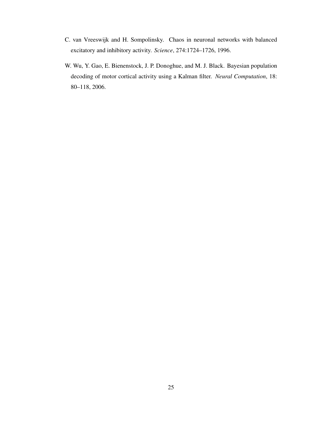- C. van Vreeswijk and H. Sompolinsky. Chaos in neuronal networks with balanced excitatory and inhibitory activity. *Science*, 274:1724–1726, 1996.
- W. Wu, Y. Gao, E. Bienenstock, J. P. Donoghue, and M. J. Black. Bayesian population decoding of motor cortical activity using a Kalman filter. *Neural Computation*, 18: 80–118, 2006.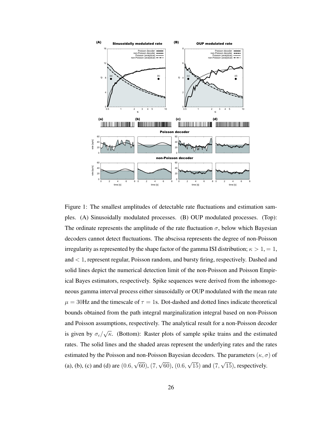

Figure 1: The smallest amplitudes of detectable rate fluctuations and estimation samples. (A) Sinusoidally modulated processes. (B) OUP modulated processes. (Top): The ordinate represents the amplitude of the rate fluctuation  $\sigma$ , below which Bayesian decoders cannot detect fluctuations. The abscissa represents the degree of non-Poisson irregularity as represented by the shape factor of the gamma ISI distribution;  $\kappa > 1, = 1$ , and < 1, represent regular, Poisson random, and bursty firing, respectively. Dashed and solid lines depict the numerical detection limit of the non-Poisson and Poisson Empirical Bayes estimators, respectively. Spike sequences were derived from the inhomogeneous gamma interval process either sinusoidally or OUP modulated with the mean rate  $\mu = 30$ Hz and the timescale of  $\tau = 1$ s. Dot-dashed and dotted lines indicate theoretical bounds obtained from the path integral marginalization integral based on non-Poisson and Poisson assumptions, respectively. The analytical result for a non-Poisson decoder is given by  $\sigma_c/\sqrt{\kappa}$ . (Bottom): Raster plots of sample spike trains and the estimated rates. The solid lines and the shaded areas represent the underlying rates and the rates estimated by the Poisson and non-Poisson Bayesian decoders. The parameters ( $\kappa, \sigma$ ) of (a), (b), (c) and (d) are  $(0.6, \sqrt{60})$ ,  $(7, \sqrt{60})$ ,  $(0.6, \sqrt{15})$  and  $(7, \sqrt{15})$ , respectively.